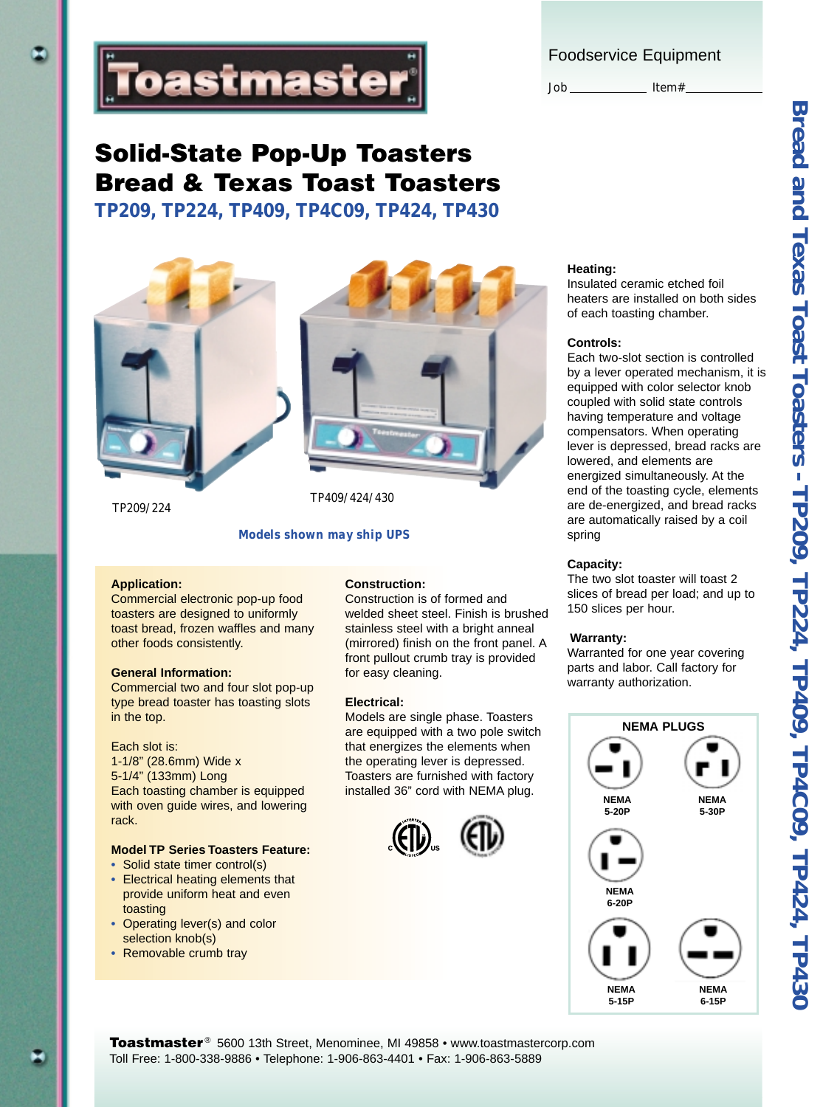Foodservice Equipment

Job \_\_\_\_\_\_\_\_\_\_\_\_\_\_ Item#\_



# **Solid-State Pop-Up Toasters Bread & Texas Toast Toasters** *TP209, TP224, TP409, TP4C09, TP424, TP430*

*TP209/224*

### *TP409/424/430*

#### *Models shown may ship UPS*

#### **Application:**

Commercial electronic pop-up food toasters are designed to uniformly toast bread, frozen waffles and many other foods consistently.

#### **General Information:**

Commercial two and four slot pop-up type bread toaster has toasting slots in the top.

#### Each slot is:

1-1/8" (28.6mm) Wide x 5-1/4" (133mm) Long Each toasting chamber is equipped with oven guide wires, and lowering rack.

### **Model TP Series Toasters Feature:**

- **•** Solid state timer control(s)
- **•** Electrical heating elements that provide uniform heat and even toasting
- **•** Operating lever(s) and color selection knob(s)
- **•** Removable crumb tray

#### **Construction:**

Construction is of formed and welded sheet steel. Finish is brushed stainless steel with a bright anneal (mirrored) finish on the front panel. A front pullout crumb tray is provided for easy cleaning.

#### **Electrical:**

Models are single phase. Toasters are equipped with a two pole switch that energizes the elements when the operating lever is depressed. Toasters are furnished with factory installed 36" cord with NEMA plug.





Insulated ceramic etched foil heaters are installed on both sides of each toasting chamber.

#### **Controls:**

Each two-slot section is controlled by a lever operated mechanism, it is equipped with color selector knob coupled with solid state controls having temperature and voltage compensators. When operating lever is depressed, bread racks are lowered, and elements are energized simultaneously. At the end of the toasting cycle, elements are de-energized, and bread racks are automatically raised by a coil spring

#### **Capacity:**

The two slot toaster will toast 2 slices of bread per load; and up to 150 slices per hour.

#### **Warranty:**

Warranted for one year covering parts and labor. Call factory for warranty authorization.